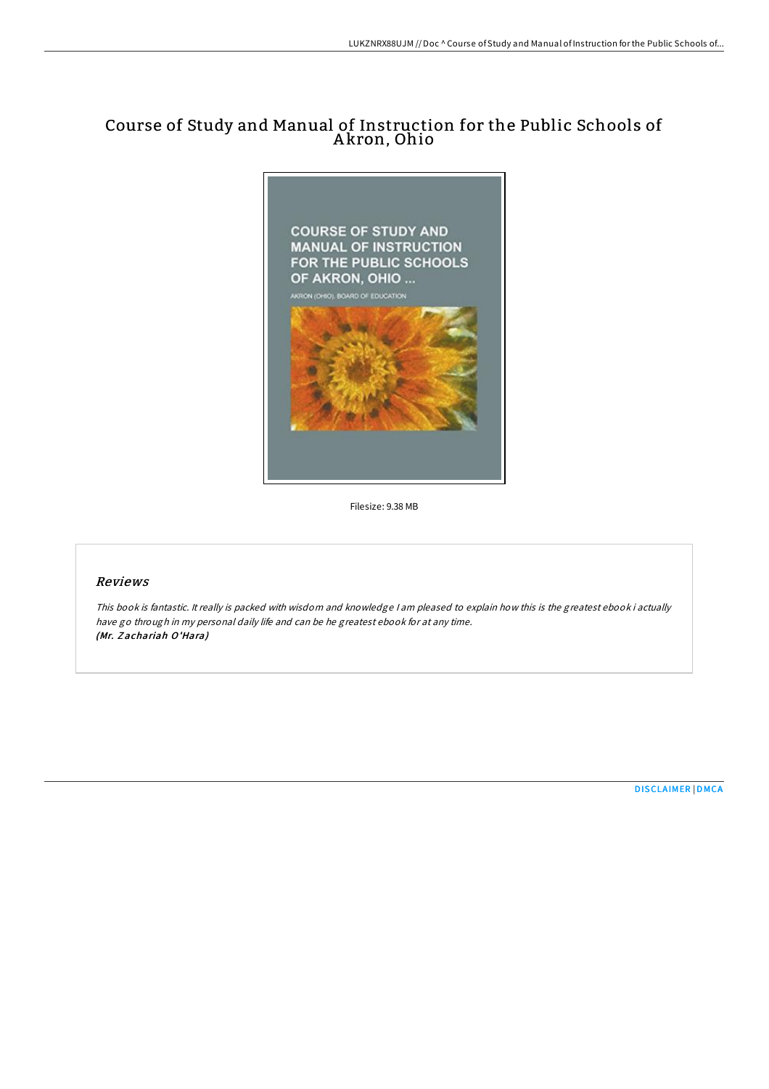# Course of Study and Manual of Instruction for the Public Schools of A kron, Ohio



Filesize: 9.38 MB

## Reviews

This book is fantastic. It really is packed with wisdom and knowledge <sup>I</sup> am pleased to explain how this is the greatest ebook i actually have go through in my personal daily life and can be he greatest ebook for at any time. (Mr. Z achariah O'Hara)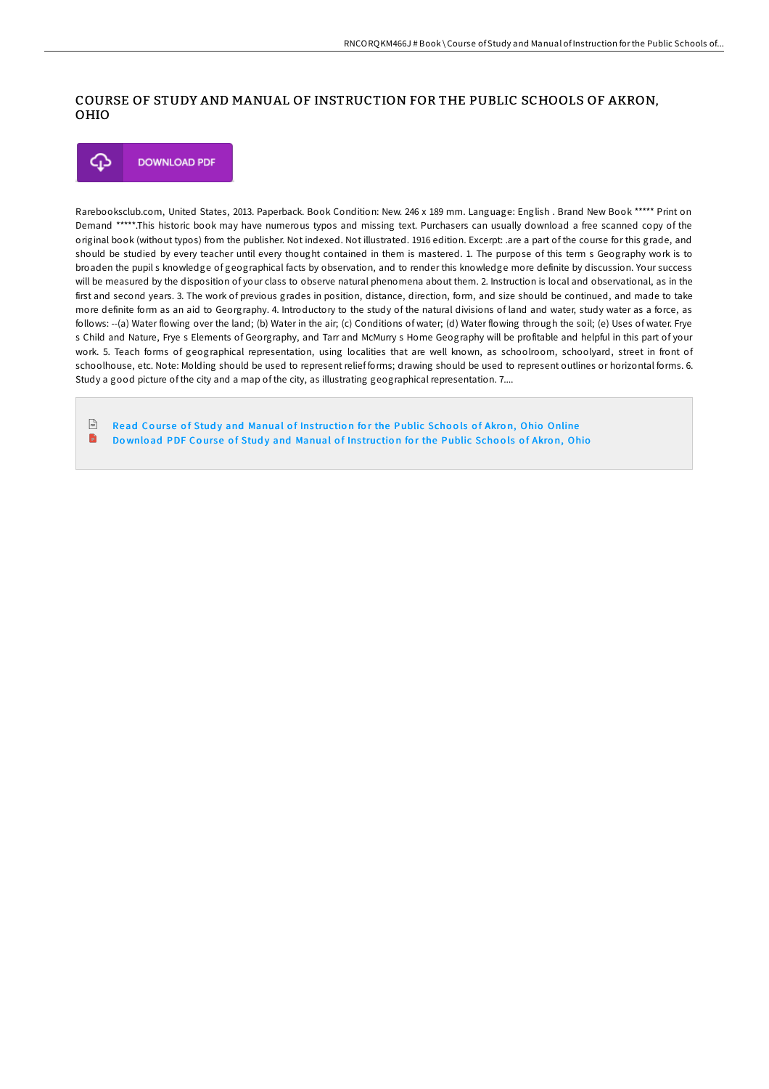## COURSE OF STUDY AND MANUAL OF INSTRUCTION FOR THE PUBLIC SCHOOLS OF AKRON, OHIO



Rarebooksclub.com, United States, 2013. Paperback. Book Condition: New. 246 x 189 mm. Language: English . Brand New Book \*\*\*\*\* Print on Demand \*\*\*\*\*.This historic book may have numerous typos and missing text. Purchasers can usually download a free scanned copy of the original book (without typos) from the publisher. Not indexed. Not illustrated. 1916 edition. Excerpt: .are a part of the course for this grade, and should be studied by every teacher until every thought contained in them is mastered. 1. The purpose of this term s Geography work is to broaden the pupil s knowledge of geographical facts by observation, and to render this knowledge more definite by discussion. Your success will be measured by the disposition of your class to observe natural phenomena about them. 2. Instruction is local and observational, as in the first and second years. 3. The work of previous grades in position, distance, direction, form, and size should be continued, and made to take more definite form as an aid to Georgraphy. 4. Introductory to the study of the natural divisions of land and water, study water as a force, as follows: --(a) Water flowing over the land; (b) Water in the air; (c) Conditions of water; (d) Water flowing through the soil; (e) Uses of water. Frye s Child and Nature, Frye s Elements of Georgraphy, and Tarr and McMurry s Home Geography will be profitable and helpful in this part of your work. 5. Teach forms of geographical representation, using localities that are well known, as schoolroom, schoolyard, street in front of schoolhouse, etc. Note: Molding should be used to represent relief forms; drawing should be used to represent outlines or horizontal forms. 6. Study a good picture of the city and a map of the city, as illustrating geographical representation. 7....

 $\frac{1}{16}$ Read Course of Study and [Manual](http://almighty24.tech/course-of-study-and-manual-of-instruction-for-th.html) of Instruction for the Public Schools of Akron, Ohio Online B Download PDF Course of Study and [Manual](http://almighty24.tech/course-of-study-and-manual-of-instruction-for-th.html) of Instruction for the Public Schools of Akron, Ohio